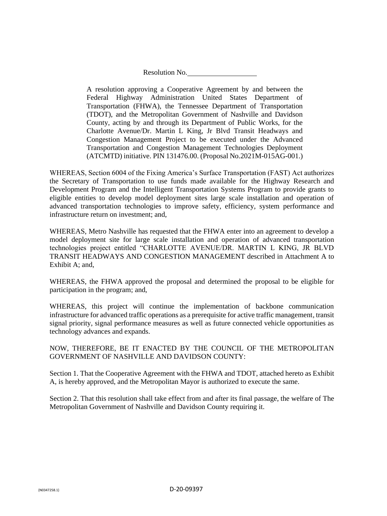Resolution No.

A resolution approving a Cooperative Agreement by and between the Federal Highway Administration United States Department of Transportation (FHWA), the Tennessee Department of Transportation (TDOT), and the Metropolitan Government of Nashville and Davidson County, acting by and through its Department of Public Works, for the Charlotte Avenue/Dr. Martin L King, Jr Blvd Transit Headways and Congestion Management Project to be executed under the Advanced Transportation and Congestion Management Technologies Deployment (ATCMTD) initiative. PIN 131476.00. (Proposal No.2021M-015AG-001.)

WHEREAS, Section 6004 of the Fixing America's Surface Transportation (FAST) Act authorizes the Secretary of Transportation to use funds made available for the Highway Research and Development Program and the Intelligent Transportation Systems Program to provide grants to eligible entities to develop model deployment sites large scale installation and operation of advanced transportation technologies to improve safety, efficiency, system performance and infrastructure return on investment; and,

WHEREAS, Metro Nashville has requested that the FHWA enter into an agreement to develop a model deployment site for large scale installation and operation of advanced transportation technologies project entitled "CHARLOTTE AVENUE/DR. MARTIN L KING, JR BLVD TRANSIT HEADWAYS AND CONGESTION MANAGEMENT described in Attachment A to Exhibit A: and,

WHEREAS, the FHWA approved the proposal and determined the proposal to be eligible for participation in the program; and,

WHEREAS, this project will continue the implementation of backbone communication infrastructure for advanced traffic operations as a prerequisite for active traffic management, transit signal priority, signal performance measures as well as future connected vehicle opportunities as technology advances and expands.

NOW, THEREFORE, BE IT ENACTED BY THE COUNCIL OF THE METROPOLITAN GOVERNMENT OF NASHVILLE AND DAVIDSON COUNTY:

Section 1. That the Cooperative Agreement with the FHWA and TDOT, attached hereto as Exhibit A, is hereby approved, and the Metropolitan Mayor is authorized to execute the same.

Section 2. That this resolution shall take effect from and after its final passage, the welfare of The Metropolitan Government of Nashville and Davidson County requiring it.